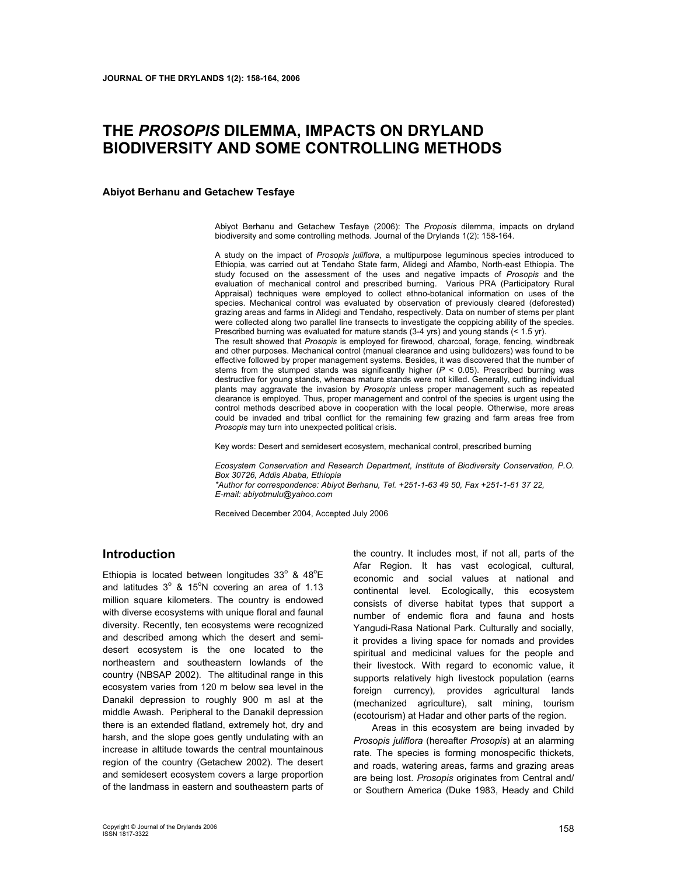# **THE** *PROSOPIS* **DILEMMA, IMPACTS ON DRYLAND BIODIVERSITY AND SOME CONTROLLING METHODS**

**Abiyot Berhanu and Getachew Tesfaye** 

Abiyot Berhanu and Getachew Tesfaye (2006): The *Proposis* dilemma, impacts on dryland biodiversity and some controlling methods. Journal of the Drylands 1(2): 158-164.

A study on the impact of *Prosopis juliflora*, a multipurpose leguminous species introduced to Ethiopia, was carried out at Tendaho State farm, Alidegi and Afambo, North-east Ethiopia. The study focused on the assessment of the uses and negative impacts of *Prosopis* and the evaluation of mechanical control and prescribed burning. Various PRA (Participatory Rural Appraisal) techniques were employed to collect ethno-botanical information on uses of the species. Mechanical control was evaluated by observation of previously cleared (deforested) grazing areas and farms in Alidegi and Tendaho, respectively. Data on number of stems per plant were collected along two parallel line transects to investigate the coppicing ability of the species. Prescribed burning was evaluated for mature stands (3-4 yrs) and young stands (< 1.5 yr).

The result showed that *Prosopis* is employed for firewood, charcoal, forage, fencing, windbreak and other purposes. Mechanical control (manual clearance and using bulldozers) was found to be effective followed by proper management systems. Besides, it was discovered that the number of stems from the stumped stands was significantly higher  $(P < 0.05)$ . Prescribed burning was destructive for young stands, whereas mature stands were not killed. Generally, cutting individual plants may aggravate the invasion by *Prosopis* unless proper management such as repeated clearance is employed. Thus, proper management and control of the species is urgent using the control methods described above in cooperation with the local people. Otherwise, more areas could be invaded and tribal conflict for the remaining few grazing and farm areas free from *Prosopis* may turn into unexpected political crisis.

Key words: Desert and semidesert ecosystem, mechanical control, prescribed burning

*Ecosystem Conservation and Research Department, Institute of Biodiversity Conservation, P.O. Box 30726, Addis Ababa, Ethiopia \*Author for correspondence: Abiyot Berhanu, Tel. +251-1-63 49 50, Fax +251-1-61 37 22, E-mail: abiyotmulu@yahoo.com* 

Received December 2004, Accepted July 2006

## **Introduction**

Ethiopia is located between longitudes  $33^\circ$  &  $48^\circ$ E and latitudes  $3^{\circ}$  & 15°N covering an area of 1.13 million square kilometers. The country is endowed with diverse ecosystems with unique floral and faunal diversity. Recently, ten ecosystems were recognized and described among which the desert and semidesert ecosystem is the one located to the northeastern and southeastern lowlands of the country (NBSAP 2002). The altitudinal range in this ecosystem varies from 120 m below sea level in the Danakil depression to roughly 900 m asl at the middle Awash. Peripheral to the Danakil depression there is an extended flatland, extremely hot, dry and harsh, and the slope goes gently undulating with an increase in altitude towards the central mountainous region of the country (Getachew 2002). The desert and semidesert ecosystem covers a large proportion of the landmass in eastern and southeastern parts of the country. It includes most, if not all, parts of the Afar Region. It has vast ecological, cultural, economic and social values at national and continental level. Ecologically, this ecosystem consists of diverse habitat types that support a number of endemic flora and fauna and hosts Yangudi-Rasa National Park. Culturally and socially, it provides a living space for nomads and provides spiritual and medicinal values for the people and their livestock. With regard to economic value, it supports relatively high livestock population (earns foreign currency), provides agricultural lands (mechanized agriculture), salt mining, tourism (ecotourism) at Hadar and other parts of the region.

Areas in this ecosystem are being invaded by *Prosopis juliflora* (hereafter *Prosopis*) at an alarming rate. The species is forming monospecific thickets, and roads, watering areas, farms and grazing areas are being lost. *Prosopis* originates from Central and/ or Southern America (Duke 1983, Heady and Child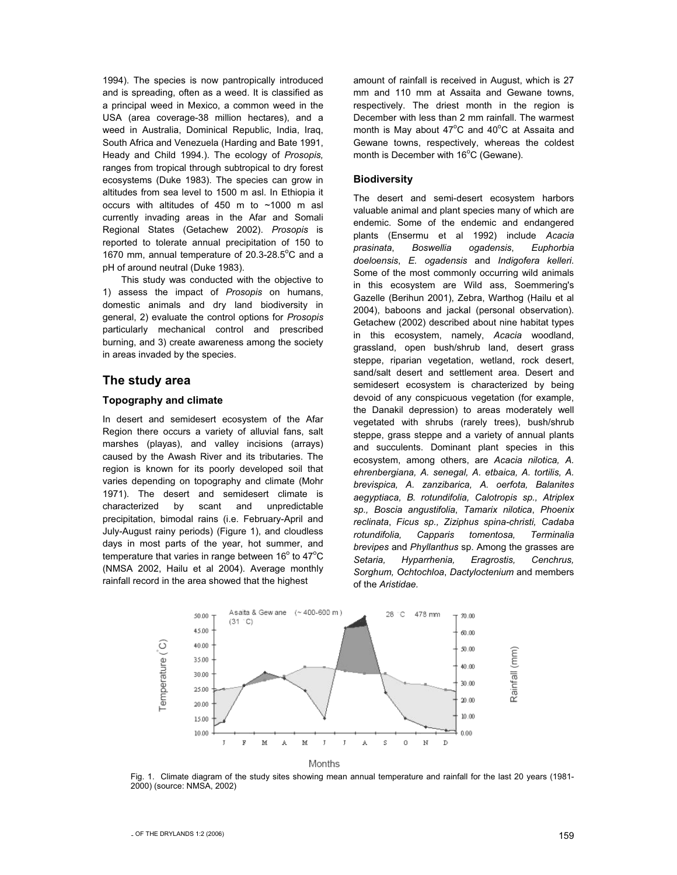1994). The species is now pantropically introduced and is spreading, often as a weed. It is classified as a principal weed in Mexico, a common weed in the USA (area coverage-38 million hectares), and a weed in Australia, Dominical Republic, India, Iraq, South Africa and Venezuela (Harding and Bate 1991, Heady and Child 1994.). The ecology of *Prosopis,* ranges from tropical through subtropical to dry forest ecosystems (Duke 1983). The species can grow in altitudes from sea level to 1500 m asl. In Ethiopia it occurs with altitudes of 450 m to ~1000 m asl currently invading areas in the Afar and Somali Regional States (Getachew 2002). *Prosopis* is reported to tolerate annual precipitation of 150 to 1670 mm, annual temperature of 20.3-28.5°C and a pH of around neutral (Duke 1983).

This study was conducted with the objective to 1) assess the impact of *Prosopis* on humans, domestic animals and dry land biodiversity in general, 2) evaluate the control options for *Prosopis* particularly mechanical control and prescribed burning, and 3) create awareness among the society in areas invaded by the species.

## **The study area**

#### **Topography and climate**

In desert and semidesert ecosystem of the Afar Region there occurs a variety of alluvial fans, salt marshes (playas), and valley incisions (arrays) caused by the Awash River and its tributaries. The region is known for its poorly developed soil that varies depending on topography and climate (Mohr 1971). The desert and semidesert climate is characterized by scant and unpredictable precipitation, bimodal rains (i.e. February-April and July-August rainy periods) (Figure 1), and cloudless days in most parts of the year, hot summer, and temperature that varies in range between 16 $^{\circ}$  to 47 $^{\circ}$ C (NMSA 2002, Hailu et al 2004). Average monthly rainfall record in the area showed that the highest

amount of rainfall is received in August, which is 27 mm and 110 mm at Assaita and Gewane towns, respectively. The driest month in the region is December with less than 2 mm rainfall. The warmest month is May about  $47^{\circ}$ C and  $40^{\circ}$ C at Assaita and Gewane towns, respectively, whereas the coldest month is December with  $16^{\circ}$ C (Gewane).

#### **Biodiversity**

The desert and semi-desert ecosystem harbors valuable animal and plant species many of which are endemic. Some of the endemic and endangered plants (Ensermu et al 1992) include *Acacia prasinata*, *Boswellia ogadensis*, *Euphorbia doeloensis*, *E. ogadensis* and *Indigofera kelleri*. Some of the most commonly occurring wild animals in this ecosystem are Wild ass, Soemmering's Gazelle (Berihun 2001), Zebra, Warthog (Hailu et al 2004), baboons and jackal (personal observation). Getachew (2002) described about nine habitat types in this ecosystem, namely, *Acacia* woodland, grassland, open bush/shrub land, desert grass steppe, riparian vegetation, wetland, rock desert, sand/salt desert and settlement area. Desert and semidesert ecosystem is characterized by being devoid of any conspicuous vegetation (for example, the Danakil depression) to areas moderately well vegetated with shrubs (rarely trees), bush/shrub steppe, grass steppe and a variety of annual plants and succulents. Dominant plant species in this ecosystem, among others, are *Acacia nilotica, A. ehrenbergiana, A. senegal, A. etbaica, A. tortilis, A. brevispica, A. zanzibarica, A. oerfota, Balanites aegyptiaca, B. rotundifolia, Calotropis sp., Atriplex sp., Boscia angustifolia*, *Tamarix nilotica*, *Phoenix reclinata*, *Ficus sp., Ziziphus spina-christi, Cadaba rotundifolia, Capparis tomentosa, Terminalia brevipes* and *Phyllanthus* sp. Among the grasses are *Setaria, Hyparrhenia, Eragrostis, Cenchrus, Sorghum, Ochtochloa*, *Dactyloctenium* and members of the *Aristidae.* 



Months

Fig. 1. Climate diagram of the study sites showing mean annual temperature and rainfall for the last 20 years (1981- 2000) (source: NMSA, 2002)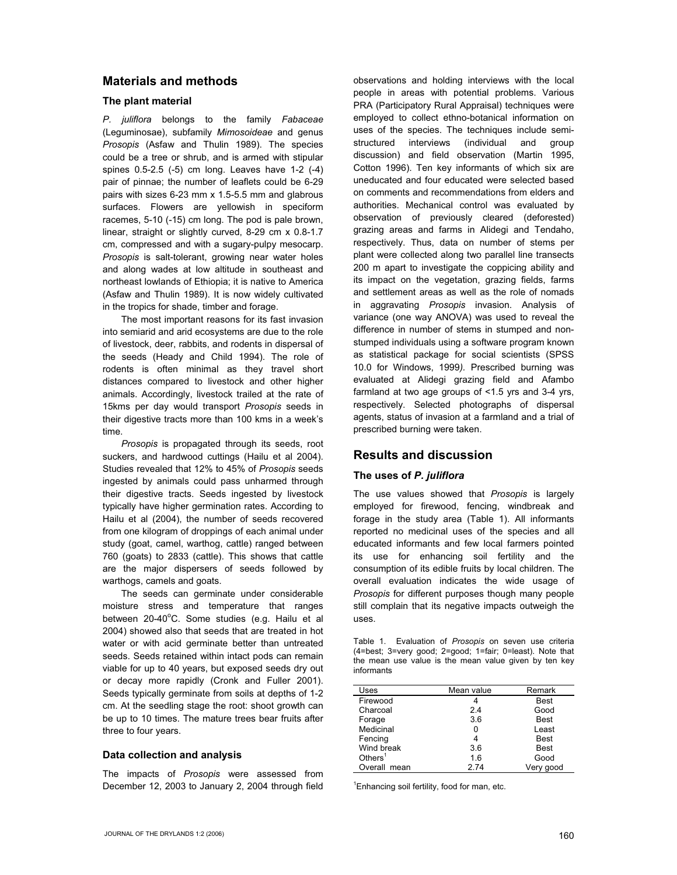# **Materials and methods**

#### **The plant material**

*P. juliflora* belongs to the family *Fabaceae* (Leguminosae), subfamily *Mimosoideae* and genus *Prosopis* (Asfaw and Thulin 1989). The species could be a tree or shrub, and is armed with stipular spines 0.5-2.5 (-5) cm long. Leaves have 1-2 (-4) pair of pinnae; the number of leaflets could be 6-29 pairs with sizes 6-23 mm x 1.5-5.5 mm and glabrous surfaces. Flowers are yellowish in speciform racemes, 5-10 (-15) cm long. The pod is pale brown, linear, straight or slightly curved, 8-29 cm x 0.8-1.7 cm, compressed and with a sugary-pulpy mesocarp. *Prosopis* is salt-tolerant, growing near water holes and along wades at low altitude in southeast and northeast lowlands of Ethiopia; it is native to America (Asfaw and Thulin 1989). It is now widely cultivated in the tropics for shade, timber and forage.

The most important reasons for its fast invasion into semiarid and arid ecosystems are due to the role of livestock, deer, rabbits, and rodents in dispersal of the seeds (Heady and Child 1994). The role of rodents is often minimal as they travel short distances compared to livestock and other higher animals. Accordingly, livestock trailed at the rate of 15kms per day would transport *Prosopis* seeds in their digestive tracts more than 100 kms in a week's time.

*Prosopis* is propagated through its seeds, root suckers, and hardwood cuttings (Hailu et al 2004). Studies revealed that 12% to 45% of *Prosopis* seeds ingested by animals could pass unharmed through their digestive tracts. Seeds ingested by livestock typically have higher germination rates. According to Hailu et al (2004), the number of seeds recovered from one kilogram of droppings of each animal under study (goat, camel, warthog, cattle) ranged between 760 (goats) to 2833 (cattle). This shows that cattle are the major dispersers of seeds followed by warthogs, camels and goats.

The seeds can germinate under considerable moisture stress and temperature that ranges between 20-40°C. Some studies (e.g. Hailu et al 2004) showed also that seeds that are treated in hot water or with acid germinate better than untreated seeds. Seeds retained within intact pods can remain viable for up to 40 years, but exposed seeds dry out or decay more rapidly (Cronk and Fuller 2001). Seeds typically germinate from soils at depths of 1-2 cm. At the seedling stage the root: shoot growth can be up to 10 times. The mature trees bear fruits after three to four years.

## **Data collection and analysis**

The impacts of *Prosopis* were assessed from December 12, 2003 to January 2, 2004 through field observations and holding interviews with the local people in areas with potential problems. Various PRA (Participatory Rural Appraisal) techniques were employed to collect ethno-botanical information on uses of the species. The techniques include semistructured interviews (individual and group discussion) and field observation (Martin 1995, Cotton 1996). Ten key informants of which six are uneducated and four educated were selected based on comments and recommendations from elders and authorities. Mechanical control was evaluated by observation of previously cleared (deforested) grazing areas and farms in Alidegi and Tendaho, respectively. Thus, data on number of stems per plant were collected along two parallel line transects 200 m apart to investigate the coppicing ability and its impact on the vegetation, grazing fields, farms and settlement areas as well as the role of nomads in aggravating *Prosopis* invasion. Analysis of variance (one way ANOVA) was used to reveal the difference in number of stems in stumped and nonstumped individuals using a software program known as statistical package for social scientists (SPSS 10.0 for Windows, 1999*).* Prescribed burning was evaluated at Alidegi grazing field and Afambo farmland at two age groups of <1.5 yrs and 3-4 yrs, respectively. Selected photographs of dispersal agents, status of invasion at a farmland and a trial of prescribed burning were taken.

# **Results and discussion**

## **The uses of** *P. juliflora*

The use values showed that *Prosopis* is largely employed for firewood, fencing, windbreak and forage in the study area (Table 1). All informants reported no medicinal uses of the species and all educated informants and few local farmers pointed its use for enhancing soil fertility and the consumption of its edible fruits by local children. The overall evaluation indicates the wide usage of *Prosopis* for different purposes though many people still complain that its negative impacts outweigh the uses.

Table 1. Evaluation of *Prosopis* on seven use criteria (4=best; 3=very good; 2=good; 1=fair; 0=least). Note that the mean use value is the mean value given by ten key informants

| Uses         | Mean value | Remark      |
|--------------|------------|-------------|
| Firewood     |            | <b>Best</b> |
| Charcoal     | 2.4        | Good        |
| Forage       | 3.6        | <b>Best</b> |
| Medicinal    |            | Least       |
| Fencing      |            | <b>Best</b> |
| Wind break   | 3.6        | <b>Best</b> |
| Others $1$   | 1.6        | Good        |
| Overall mean | 274        | Very good   |

<sup>1</sup> Enhancing soil fertility, food for man, etc.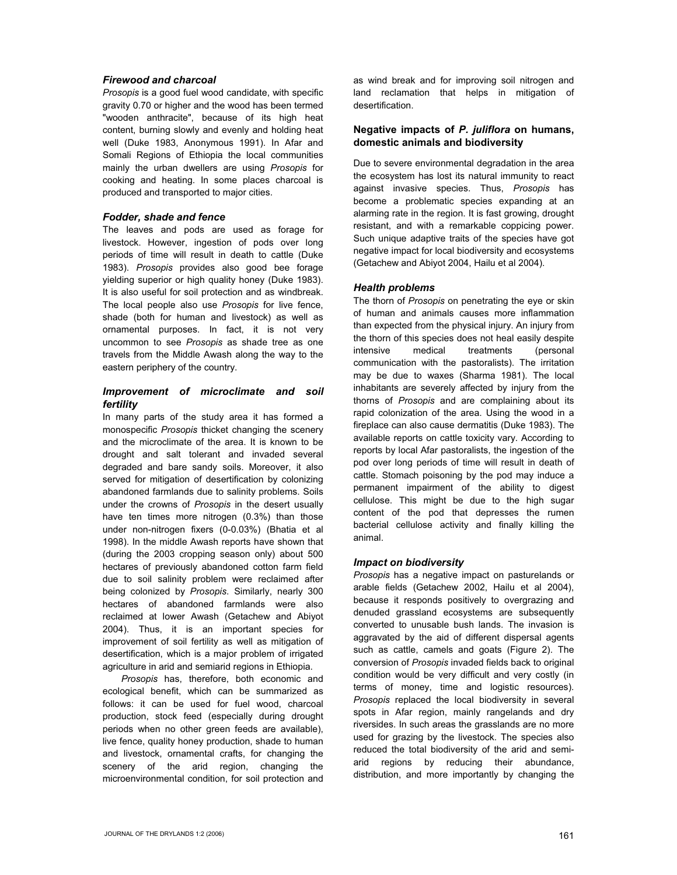## *Firewood and charcoal*

*Prosopis* is a good fuel wood candidate, with specific gravity 0.70 or higher and the wood has been termed "wooden anthracite", because of its high heat content, burning slowly and evenly and holding heat well (Duke 1983, Anonymous 1991). In Afar and Somali Regions of Ethiopia the local communities mainly the urban dwellers are using *Prosopis* for cooking and heating. In some places charcoal is produced and transported to major cities.

#### *Fodder, shade and fence*

The leaves and pods are used as forage for livestock. However, ingestion of pods over long periods of time will result in death to cattle (Duke 1983). *Prosopis* provides also good bee forage yielding superior or high quality honey (Duke 1983). It is also useful for soil protection and as windbreak. The local people also use *Prosopis* for live fence, shade (both for human and livestock) as well as ornamental purposes. In fact, it is not very uncommon to see *Prosopis* as shade tree as one travels from the Middle Awash along the way to the eastern periphery of the country.

## *Improvement of microclimate and soil fertility*

In many parts of the study area it has formed a monospecific *Prosopis* thicket changing the scenery and the microclimate of the area. It is known to be drought and salt tolerant and invaded several degraded and bare sandy soils. Moreover, it also served for mitigation of desertification by colonizing abandoned farmlands due to salinity problems. Soils under the crowns of *Prosopis* in the desert usually have ten times more nitrogen (0.3%) than those under non-nitrogen fixers (0-0.03%) (Bhatia et al 1998). In the middle Awash reports have shown that (during the 2003 cropping season only) about 500 hectares of previously abandoned cotton farm field due to soil salinity problem were reclaimed after being colonized by *Prosopis*. Similarly, nearly 300 hectares of abandoned farmlands were also reclaimed at lower Awash (Getachew and Abiyot 2004). Thus, it is an important species for improvement of soil fertility as well as mitigation of desertification, which is a major problem of irrigated agriculture in arid and semiarid regions in Ethiopia.

*Prosopis* has, therefore, both economic and ecological benefit, which can be summarized as follows: it can be used for fuel wood, charcoal production, stock feed (especially during drought periods when no other green feeds are available), live fence, quality honey production, shade to human and livestock, ornamental crafts, for changing the scenery of the arid region, changing the microenvironmental condition, for soil protection and

as wind break and for improving soil nitrogen and land reclamation that helps in mitigation of desertification.

## **Negative impacts of** *P. juliflora* **on humans, domestic animals and biodiversity**

Due to severe environmental degradation in the area the ecosystem has lost its natural immunity to react against invasive species. Thus, *Prosopis* has become a problematic species expanding at an alarming rate in the region. It is fast growing, drought resistant, and with a remarkable coppicing power. Such unique adaptive traits of the species have got negative impact for local biodiversity and ecosystems (Getachew and Abiyot 2004, Hailu et al 2004).

## *Health problems*

The thorn of *Prosopis* on penetrating the eye or skin of human and animals causes more inflammation than expected from the physical injury. An injury from the thorn of this species does not heal easily despite intensive medical treatments (personal communication with the pastoralists). The irritation may be due to waxes (Sharma 1981). The local inhabitants are severely affected by injury from the thorns of *Prosopis* and are complaining about its rapid colonization of the area. Using the wood in a fireplace can also cause dermatitis (Duke 1983). The available reports on cattle toxicity vary. According to reports by local Afar pastoralists, the ingestion of the pod over long periods of time will result in death of cattle. Stomach poisoning by the pod may induce a permanent impairment of the ability to digest cellulose. This might be due to the high sugar content of the pod that depresses the rumen bacterial cellulose activity and finally killing the animal.

## *Impact on biodiversity*

*Prosopis* has a negative impact on pasturelands or arable fields (Getachew 2002, Hailu et al 2004), because it responds positively to overgrazing and denuded grassland ecosystems are subsequently converted to unusable bush lands. The invasion is aggravated by the aid of different dispersal agents such as cattle, camels and goats (Figure 2). The conversion of *Prosopis* invaded fields back to original condition would be very difficult and very costly (in terms of money, time and logistic resources). *Prosopis* replaced the local biodiversity in several spots in Afar region, mainly rangelands and dry riversides. In such areas the grasslands are no more used for grazing by the livestock. The species also reduced the total biodiversity of the arid and semiarid regions by reducing their abundance, distribution, and more importantly by changing the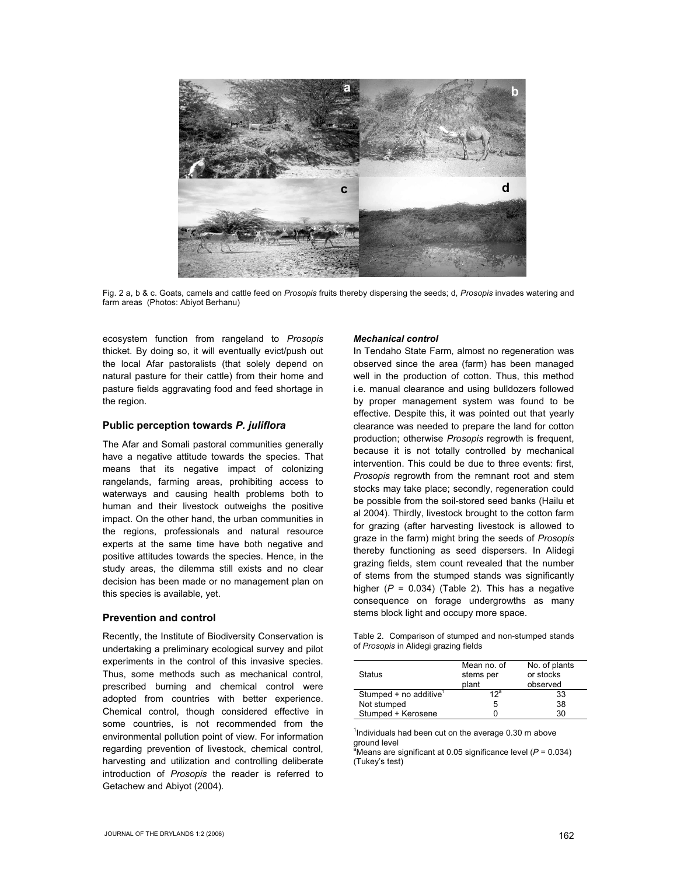

Fig. 2 a, b & c. Goats, camels and cattle feed on *Prosopis* fruits thereby dispersing the seeds; d, *Prosopis* invades watering and farm areas (Photos: Abiyot Berhanu)

ecosystem function from rangeland to *Prosopis*  thicket. By doing so, it will eventually evict/push out the local Afar pastoralists (that solely depend on natural pasture for their cattle) from their home and pasture fields aggravating food and feed shortage in the region.

#### **Public perception towards** *P. juliflora*

The Afar and Somali pastoral communities generally have a negative attitude towards the species. That means that its negative impact of colonizing rangelands, farming areas, prohibiting access to waterways and causing health problems both to human and their livestock outweighs the positive impact. On the other hand, the urban communities in the regions, professionals and natural resource experts at the same time have both negative and positive attitudes towards the species. Hence, in the study areas, the dilemma still exists and no clear decision has been made or no management plan on this species is available, yet.

#### **Prevention and control**

Recently, the Institute of Biodiversity Conservation is undertaking a preliminary ecological survey and pilot experiments in the control of this invasive species. Thus, some methods such as mechanical control, prescribed burning and chemical control were adopted from countries with better experience. Chemical control, though considered effective in some countries, is not recommended from the environmental pollution point of view. For information regarding prevention of livestock, chemical control, harvesting and utilization and controlling deliberate introduction of *Prosopis* the reader is referred to Getachew and Abiyot (2004).

#### *Mechanical control*

In Tendaho State Farm, almost no regeneration was observed since the area (farm) has been managed well in the production of cotton. Thus, this method i.e. manual clearance and using bulldozers followed by proper management system was found to be effective. Despite this, it was pointed out that yearly clearance was needed to prepare the land for cotton production; otherwise *Prosopis* regrowth is frequent, because it is not totally controlled by mechanical intervention. This could be due to three events: first, *Prosopis* regrowth from the remnant root and stem stocks may take place; secondly, regeneration could be possible from the soil-stored seed banks (Hailu et al 2004). Thirdly, livestock brought to the cotton farm for grazing (after harvesting livestock is allowed to graze in the farm) might bring the seeds of *Prosopis* thereby functioning as seed dispersers. In Alidegi grazing fields, stem count revealed that the number of stems from the stumped stands was significantly higher  $(P = 0.034)$  (Table 2). This has a negative consequence on forage undergrowths as many stems block light and occupy more space.

Table 2. Comparison of stumped and non-stumped stands of *Prosopis* in Alidegi grazing fields

| <b>Status</b>                        | Mean no. of<br>stems per<br>plant | No. of plants<br>or stocks<br>observed |
|--------------------------------------|-----------------------------------|----------------------------------------|
| Stumped $+$ no additive <sup>1</sup> | 12 <sup>a</sup>                   | 33                                     |
| Not stumped                          | :5                                | 38                                     |
| Stumped + Kerosene                   |                                   | 30                                     |

<sup>1</sup>Individuals had been cut on the average 0.30 m above ground level

a Means are significant at 0.05 significance level (*P* = 0.034) (Tukey's test)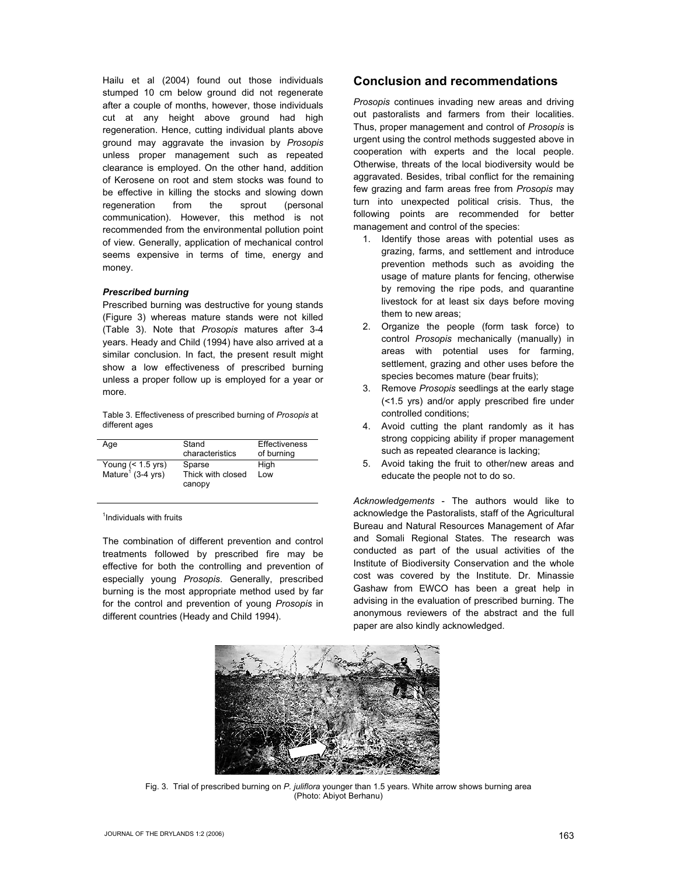Hailu et al (2004) found out those individuals stumped 10 cm below ground did not regenerate after a couple of months, however, those individuals cut at any height above ground had high regeneration. Hence, cutting individual plants above ground may aggravate the invasion by *Prosopis* unless proper management such as repeated clearance is employed. On the other hand, addition of Kerosene on root and stem stocks was found to be effective in killing the stocks and slowing down regeneration from the sprout (personal communication). However, this method is not recommended from the environmental pollution point of view. Generally, application of mechanical control seems expensive in terms of time, energy and money.

#### *Prescribed burning*

Prescribed burning was destructive for young stands (Figure 3) whereas mature stands were not killed (Table 3). Note that *Prosopis* matures after 3-4 years. Heady and Child (1994) have also arrived at a similar conclusion. In fact, the present result might show a low effectiveness of prescribed burning unless a proper follow up is employed for a year or more.

Table 3. Effectiveness of prescribed burning of *Prosopis* at different ages

| Age                                                  | Stand<br>characteristics              | <b>Effectiveness</b><br>of burning |
|------------------------------------------------------|---------------------------------------|------------------------------------|
| Young $(< 1.5$ yrs)<br>Mature <sup>1</sup> (3-4 yrs) | Sparse<br>Thick with closed<br>canopy | High<br>l ow                       |

<sup>1</sup>Individuals with fruits

The combination of different prevention and control treatments followed by prescribed fire may be effective for both the controlling and prevention of especially young *Prosopis*. Generally, prescribed burning is the most appropriate method used by far for the control and prevention of young *Prosopis* in different countries (Heady and Child 1994).

# **Conclusion and recommendations**

*Prosopis* continues invading new areas and driving out pastoralists and farmers from their localities. Thus, proper management and control of *Prosopis* is urgent using the control methods suggested above in cooperation with experts and the local people. Otherwise, threats of the local biodiversity would be aggravated. Besides, tribal conflict for the remaining few grazing and farm areas free from *Prosopis* may turn into unexpected political crisis. Thus, the following points are recommended for better management and control of the species:

- 1. Identify those areas with potential uses as grazing, farms, and settlement and introduce prevention methods such as avoiding the usage of mature plants for fencing, otherwise by removing the ripe pods, and quarantine livestock for at least six days before moving them to new areas;
- 2. Organize the people (form task force) to control *Prosopis* mechanically (manually) in areas with potential uses for farming, settlement, grazing and other uses before the species becomes mature (bear fruits);
- 3. Remove *Prosopis* seedlings at the early stage (<1.5 yrs) and/or apply prescribed fire under controlled conditions;
- 4. Avoid cutting the plant randomly as it has strong coppicing ability if proper management such as repeated clearance is lacking;
- 5. Avoid taking the fruit to other/new areas and educate the people not to do so.

*Acknowledgements* - The authors would like to acknowledge the Pastoralists, staff of the Agricultural Bureau and Natural Resources Management of Afar and Somali Regional States. The research was conducted as part of the usual activities of the Institute of Biodiversity Conservation and the whole cost was covered by the Institute. Dr. Minassie Gashaw from EWCO has been a great help in advising in the evaluation of prescribed burning. The anonymous reviewers of the abstract and the full paper are also kindly acknowledged.



Fig. 3. Trial of prescribed burning on *P. juliflora* younger than 1.5 years. White arrow shows burning area (Photo: Abiyot Berhanu)